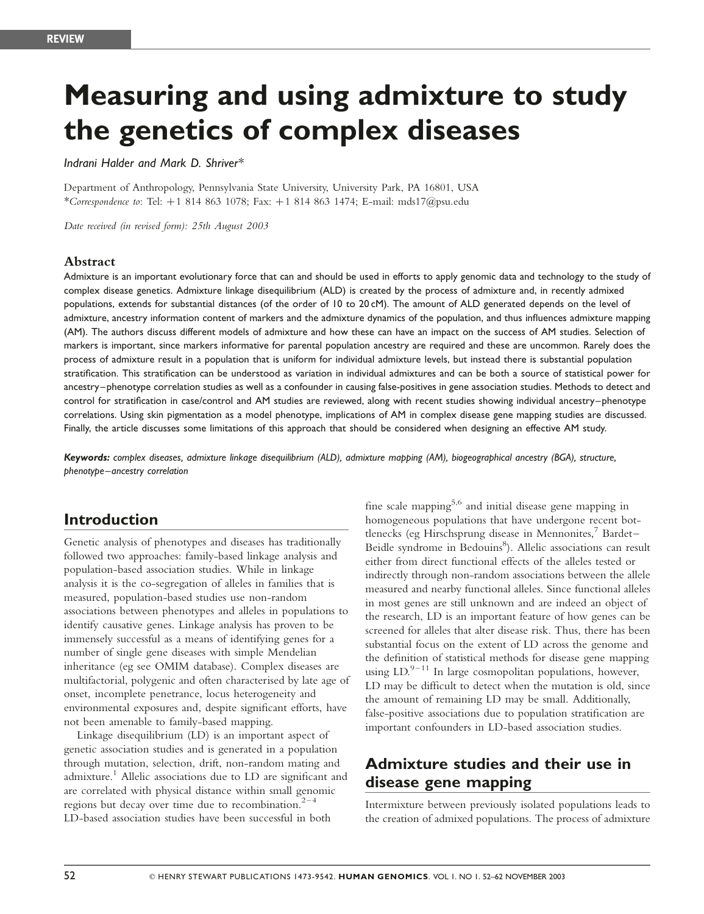# Measuring and using admixture to study the genetics of complex diseases

Indrani Halder and Mark D. Shriver\*

Department of Anthropology, Pennsylvania State University, University Park, PA 16801, USA \*Correspondence to: Tel: þ1 814 863 1078; Fax: þ1 814 863 1474; E-mail: mds17@psu.edu

Date received (in revised form): 25th August 2003

#### Abstract

Admixture is an important evolutionary force that can and should be used in efforts to apply genomic data and technology to the study of complex disease genetics. Admixture linkage disequilibrium (ALD) is created by the process of admixture and, in recently admixed populations, extends for substantial distances (of the order of 10 to 20 cM). The amount of ALD generated depends on the level of admixture, ancestry information content of markers and the admixture dynamics of the population, and thus influences admixture mapping (AM). The authors discuss different models of admixture and how these can have an impact on the success of AM studies. Selection of markers is important, since markers informative for parental population ancestry are required and these are uncommon. Rarely does the process of admixture result in a population that is uniform for individual admixture levels, but instead there is substantial population stratification. This stratification can be understood as variation in individual admixtures and can be both a source of statistical power for ancestry–phenotype correlation studies as well as a confounder in causing false-positives in gene association studies. Methods to detect and control for stratification in case/control and AM studies are reviewed, along with recent studies showing individual ancestry–phenotype correlations. Using skin pigmentation as a model phenotype, implications of AM in complex disease gene mapping studies are discussed. Finally, the article discusses some limitations of this approach that should be considered when designing an effective AM study.

Keywords: complex diseases, admixture linkage disequilibrium (ALD), admixture mapping (AM), biogeographical ancestry (BGA), structure, phenotype–ancestry correlation

## Introduction

Genetic analysis of phenotypes and diseases has traditionally followed two approaches: family-based linkage analysis and population-based association studies. While in linkage analysis it is the co-segregation of alleles in families that is measured, population-based studies use non-random associations between phenotypes and alleles in populations to identify causative genes. Linkage analysis has proven to be immensely successful as a means of identifying genes for a number of single gene diseases with simple Mendelian inheritance (eg see OMIM database). Complex diseases are multifactorial, polygenic and often characterised by late age of onset, incomplete penetrance, locus heterogeneity and environmental exposures and, despite significant efforts, have not been amenable to family-based mapping.

Linkage disequilibrium (LD) is an important aspect of genetic association studies and is generated in a population through mutation, selection, drift, non-random mating and admixture.<sup>1</sup> Allelic associations due to LD are significant and are correlated with physical distance within small genomic regions but decay over time due to recombination. $2^{-4}$ LD-based association studies have been successful in both

fine scale mapping<sup>5,6</sup> and initial disease gene mapping in homogeneous populations that have undergone recent bottlenecks (eg Hirschsprung disease in Mennonites, $\frac{7}{1}$  Bardet– Beidle syndrome in Bedouins<sup>8</sup>). Allelic associations can result either from direct functional effects of the alleles tested or indirectly through non-random associations between the allele measured and nearby functional alleles. Since functional alleles in most genes are still unknown and are indeed an object of the research, LD is an important feature of how genes can be screened for alleles that alter disease risk. Thus, there has been substantial focus on the extent of LD across the genome and the definition of statistical methods for disease gene mapping using  $LD^{9-11}$  In large cosmopolitan populations, however, LD may be difficult to detect when the mutation is old, since the amount of remaining LD may be small. Additionally, false-positive associations due to population stratification are important confounders in LD-based association studies.

# Admixture studies and their use in disease gene mapping

Intermixture between previously isolated populations leads to the creation of admixed populations. The process of admixture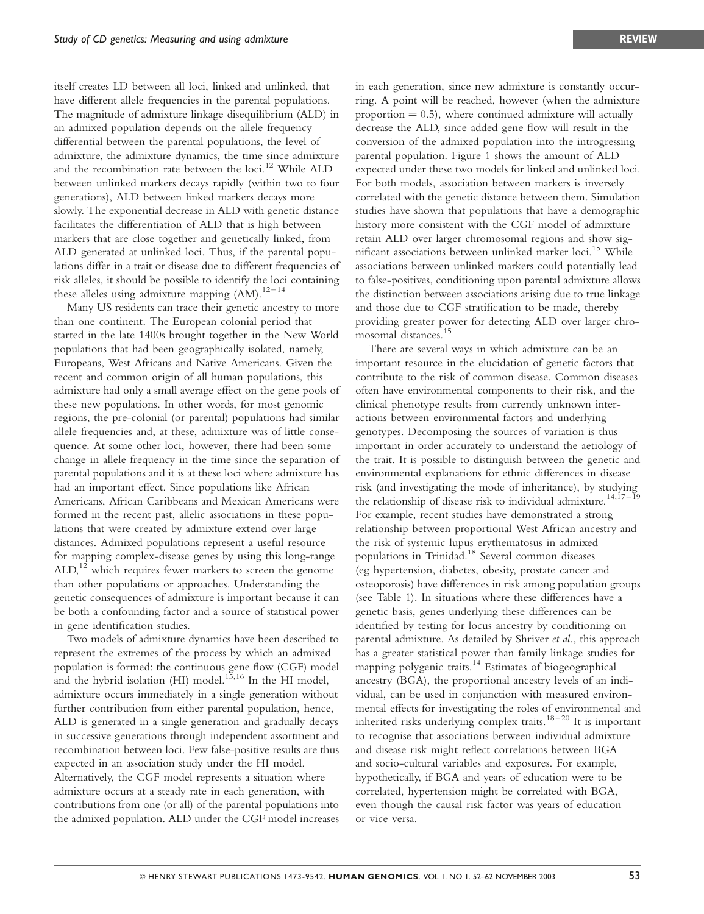itself creates LD between all loci, linked and unlinked, that have different allele frequencies in the parental populations. The magnitude of admixture linkage disequilibrium (ALD) in an admixed population depends on the allele frequency differential between the parental populations, the level of admixture, the admixture dynamics, the time since admixture and the recombination rate between the loci.<sup>12</sup> While ALD between unlinked markers decays rapidly (within two to four generations), ALD between linked markers decays more slowly. The exponential decrease in ALD with genetic distance facilitates the differentiation of ALD that is high between markers that are close together and genetically linked, from ALD generated at unlinked loci. Thus, if the parental populations differ in a trait or disease due to different frequencies of risk alleles, it should be possible to identify the loci containing these alleles using admixture mapping  $(AM)^{12-14}$ 

Many US residents can trace their genetic ancestry to more than one continent. The European colonial period that started in the late 1400s brought together in the New World populations that had been geographically isolated, namely, Europeans, West Africans and Native Americans. Given the recent and common origin of all human populations, this admixture had only a small average effect on the gene pools of these new populations. In other words, for most genomic regions, the pre-colonial (or parental) populations had similar allele frequencies and, at these, admixture was of little consequence. At some other loci, however, there had been some change in allele frequency in the time since the separation of parental populations and it is at these loci where admixture has had an important effect. Since populations like African Americans, African Caribbeans and Mexican Americans were formed in the recent past, allelic associations in these populations that were created by admixture extend over large distances. Admixed populations represent a useful resource for mapping complex-disease genes by using this long-range  $ALD<sub>1</sub><sup>12</sup>$  which requires fewer markers to screen the genome than other populations or approaches. Understanding the genetic consequences of admixture is important because it can be both a confounding factor and a source of statistical power in gene identification studies.

Two models of admixture dynamics have been described to represent the extremes of the process by which an admixed population is formed: the continuous gene flow (CGF) model and the hybrid isolation (HI) model.<sup>15,16</sup> In the HI model, admixture occurs immediately in a single generation without further contribution from either parental population, hence, ALD is generated in a single generation and gradually decays in successive generations through independent assortment and recombination between loci. Few false-positive results are thus expected in an association study under the HI model. Alternatively, the CGF model represents a situation where admixture occurs at a steady rate in each generation, with contributions from one (or all) of the parental populations into the admixed population. ALD under the CGF model increases in each generation, since new admixture is constantly occurring. A point will be reached, however (when the admixture proportion  $= 0.5$ ), where continued admixture will actually decrease the ALD, since added gene flow will result in the conversion of the admixed population into the introgressing parental population. Figure 1 shows the amount of ALD expected under these two models for linked and unlinked loci. For both models, association between markers is inversely correlated with the genetic distance between them. Simulation studies have shown that populations that have a demographic history more consistent with the CGF model of admixture retain ALD over larger chromosomal regions and show significant associations between unlinked marker loci.<sup>15</sup> While associations between unlinked markers could potentially lead to false-positives, conditioning upon parental admixture allows the distinction between associations arising due to true linkage and those due to CGF stratification to be made, thereby providing greater power for detecting ALD over larger chromosomal distances.<sup>15</sup>

There are several ways in which admixture can be an important resource in the elucidation of genetic factors that contribute to the risk of common disease. Common diseases often have environmental components to their risk, and the clinical phenotype results from currently unknown interactions between environmental factors and underlying genotypes. Decomposing the sources of variation is thus important in order accurately to understand the aetiology of the trait. It is possible to distinguish between the genetic and environmental explanations for ethnic differences in disease risk (and investigating the mode of inheritance), by studying the relationship of disease risk to individual admixture.<sup>14,17-19</sup> For example, recent studies have demonstrated a strong relationship between proportional West African ancestry and the risk of systemic lupus erythematosus in admixed populations in Trinidad.<sup>18</sup> Several common diseases (eg hypertension, diabetes, obesity, prostate cancer and osteoporosis) have differences in risk among population groups (see Table 1). In situations where these differences have a genetic basis, genes underlying these differences can be identified by testing for locus ancestry by conditioning on parental admixture. As detailed by Shriver et al., this approach has a greater statistical power than family linkage studies for mapping polygenic traits.<sup>14</sup> Estimates of biogeographical ancestry (BGA), the proportional ancestry levels of an individual, can be used in conjunction with measured environmental effects for investigating the roles of environmental and inherited risks underlying complex traits.<sup>18–20</sup> It is important to recognise that associations between individual admixture and disease risk might reflect correlations between BGA and socio-cultural variables and exposures. For example, hypothetically, if BGA and years of education were to be correlated, hypertension might be correlated with BGA, even though the causal risk factor was years of education or vice versa.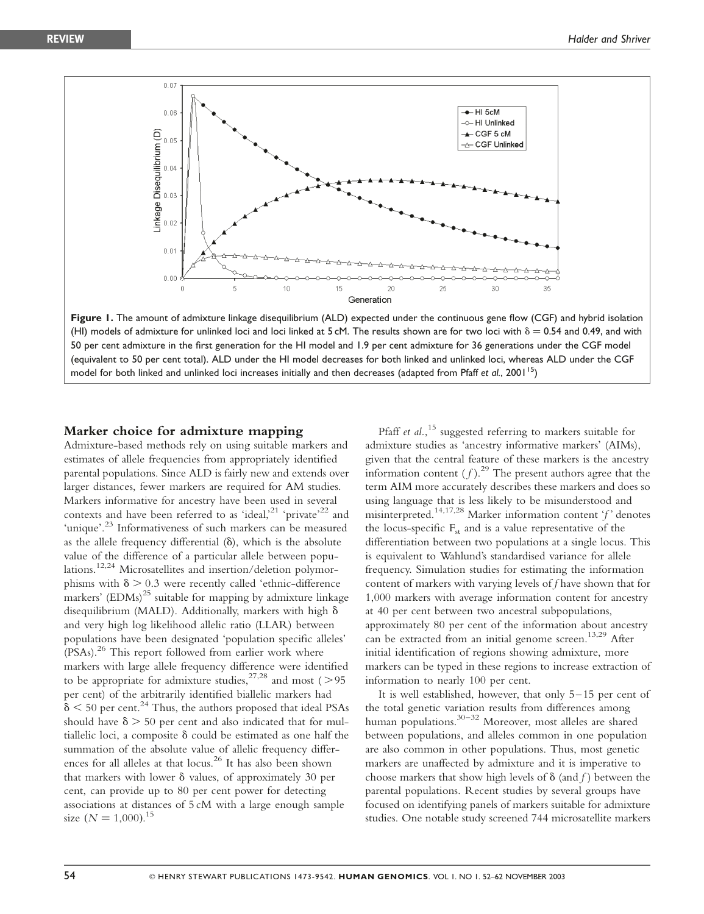

Figure 1. The amount of admixture linkage disequilibrium (ALD) expected under the continuous gene flow (CGF) and hybrid isolation (HI) models of admixture for unlinked loci and loci linked at 5 cM. The results shown are for two loci with  $\delta = 0.54$  and 0.49, and with 50 per cent admixture in the first generation for the HI model and 1.9 per cent admixture for 36 generations under the CGF model (equivalent to 50 per cent total). ALD under the HI model decreases for both linked and unlinked loci, whereas ALD under the CGF model for both linked and unlinked loci increases initially and then decreases (adapted from Pfaff et al.,  $2001^{15}$ )

#### Marker choice for admixture mapping

Admixture-based methods rely on using suitable markers and estimates of allele frequencies from appropriately identified parental populations. Since ALD is fairly new and extends over larger distances, fewer markers are required for AM studies. Markers informative for ancestry have been used in several contexts and have been referred to as 'ideal, $2^{21}$  'private' $2^{22}$  and 'unique'.<sup>23</sup> Informativeness of such markers can be measured as the allele frequency differential  $(\delta)$ , which is the absolute value of the difference of a particular allele between populations.12,24 Microsatellites and insertion/deletion polymorphisms with  $\delta$  > 0.3 were recently called 'ethnic-difference markers'  $(DMs)^{25}$  suitable for mapping by admixture linkage disequilibrium (MALD). Additionally, markers with high  $\delta$ and very high log likelihood allelic ratio (LLAR) between populations have been designated 'population specific alleles'  $(PSAs)<sup>26</sup>$  This report followed from earlier work where markers with large allele frequency difference were identified to be appropriate for admixture studies,  $27,28$  and most ( $>95$ ) per cent) of the arbitrarily identified biallelic markers had  $\delta$  < 50 per cent.<sup>24</sup> Thus, the authors proposed that ideal PSAs should have  $\delta$  > 50 per cent and also indicated that for multiallelic loci, a composite  $\delta$  could be estimated as one half the summation of the absolute value of allelic frequency differences for all alleles at that locus.<sup>26</sup> It has also been shown that markers with lower  $\delta$  values, of approximately 30 per cent, can provide up to 80 per cent power for detecting associations at distances of 5 cM with a large enough sample size  $(N = 1,000).^{15}$ 

Pfaff et al.,<sup>15</sup> suggested referring to markers suitable for admixture studies as 'ancestry informative markers' (AIMs), given that the central feature of these markers is the ancestry information content  $(f)$ .<sup>29</sup> The present authors agree that the term AIM more accurately describes these markers and does so using language that is less likely to be misunderstood and misinterpreted.<sup>14,17,28</sup> Marker information content 'f' denotes the locus-specific  $F_{st}$  and is a value representative of the differentiation between two populations at a single locus. This is equivalent to Wahlund's standardised variance for allele frequency. Simulation studies for estimating the information content of markers with varying levels of f have shown that for 1,000 markers with average information content for ancestry at 40 per cent between two ancestral subpopulations, approximately 80 per cent of the information about ancestry can be extracted from an initial genome screen.<sup>13,29</sup> After initial identification of regions showing admixture, more markers can be typed in these regions to increase extraction of information to nearly 100 per cent.

It is well established, however, that only 5–15 per cent of the total genetic variation results from differences among human populations.<sup>30–32</sup> Moreover, most alleles are shared between populations, and alleles common in one population are also common in other populations. Thus, most genetic markers are unaffected by admixture and it is imperative to choose markers that show high levels of  $\delta$  (and f) between the parental populations. Recent studies by several groups have focused on identifying panels of markers suitable for admixture studies. One notable study screened 744 microsatellite markers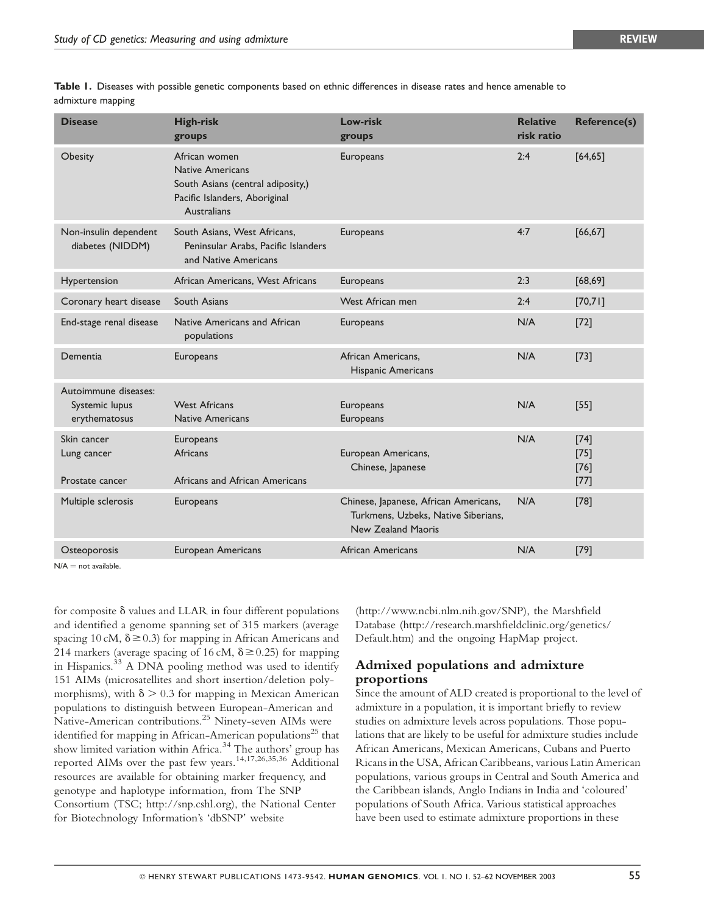| <b>Disease</b>                                          | <b>High-risk</b><br>groups                                                                                                           | Low-risk<br>groups                                                                                 | <b>Relative</b><br>risk ratio | <b>Reference(s)</b>                  |
|---------------------------------------------------------|--------------------------------------------------------------------------------------------------------------------------------------|----------------------------------------------------------------------------------------------------|-------------------------------|--------------------------------------|
| Obesity                                                 | African women<br><b>Native Americans</b><br>South Asians (central adiposity,)<br>Pacific Islanders, Aboriginal<br><b>Australians</b> | Europeans                                                                                          | 2:4                           | [64, 65]                             |
| Non-insulin dependent<br>diabetes (NIDDM)               | South Asians, West Africans,<br>Peninsular Arabs, Pacific Islanders<br>and Native Americans                                          | Europeans                                                                                          | 4:7                           | [66, 67]                             |
| Hypertension                                            | African Americans, West Africans                                                                                                     | Europeans                                                                                          | 2:3                           | [68, 69]                             |
| Coronary heart disease                                  | South Asians                                                                                                                         | West African men                                                                                   | 2:4                           | [70, 71]                             |
| End-stage renal disease                                 | Native Americans and African<br>populations                                                                                          | Europeans                                                                                          | N/A                           | $[72]$                               |
| Dementia                                                | Europeans                                                                                                                            | African Americans.<br>Hispanic Americans                                                           | N/A                           | $[73]$                               |
| Autoimmune diseases:<br>Systemic lupus<br>erythematosus | <b>West Africans</b><br><b>Native Americans</b>                                                                                      | Europeans<br>Europeans                                                                             | N/A                           | $[55]$                               |
| Skin cancer<br>Lung cancer<br>Prostate cancer           | Europeans<br><b>Africans</b><br>Africans and African Americans                                                                       | European Americans,<br>Chinese, Japanese                                                           | N/A                           | $[74]$<br>$[75]$<br>$[76]$<br>$[77]$ |
| Multiple sclerosis                                      | Europeans                                                                                                                            | Chinese, Japanese, African Americans,<br>Turkmens, Uzbeks, Native Siberians,<br>New Zealand Maoris | N/A                           | [78]                                 |
| Osteoporosis                                            | European Americans                                                                                                                   | African Americans                                                                                  | N/A                           | $[79]$                               |

Table 1. Diseases with possible genetic components based on ethnic differences in disease rates and hence amenable to admixture mapping

 $N/A =$  not available.

for composite  $\delta$  values and LLAR in four different populations and identified a genome spanning set of 315 markers (average spacing 10 cM,  $\delta \ge 0.3$ ) for mapping in African Americans and 214 markers (average spacing of 16 cM,  $\delta \ge 0.25$ ) for mapping in Hispanics.<sup>33</sup> A DNA pooling method was used to identify 151 AIMs (microsatellites and short insertion/deletion polymorphisms), with  $\delta$  > 0.3 for mapping in Mexican American populations to distinguish between European-American and Native-American contributions.<sup>25</sup> Ninety-seven AIMs were identified for mapping in African-American populations<sup>25</sup> that show limited variation within Africa.<sup>34</sup> The authors' group has reported AIMs over the past few years.<sup>14,17,26,35,36</sup> Additional resources are available for obtaining marker frequency, and genotype and haplotype information, from The SNP Consortium (TSC; http://snp.cshl.org), the National Center for Biotechnology Information's 'dbSNP' website

(http://www.ncbi.nlm.nih.gov/SNP), the Marshfield Database (http://research.marshfieldclinic.org/genetics/ Default.htm) and the ongoing HapMap project.

### Admixed populations and admixture proportions

Since the amount of ALD created is proportional to the level of admixture in a population, it is important briefly to review studies on admixture levels across populations. Those populations that are likely to be useful for admixture studies include African Americans, Mexican Americans, Cubans and Puerto Ricans in the USA, African Caribbeans, various Latin American populations, various groups in Central and South America and the Caribbean islands, Anglo Indians in India and 'coloured' populations of South Africa. Various statistical approaches have been used to estimate admixture proportions in these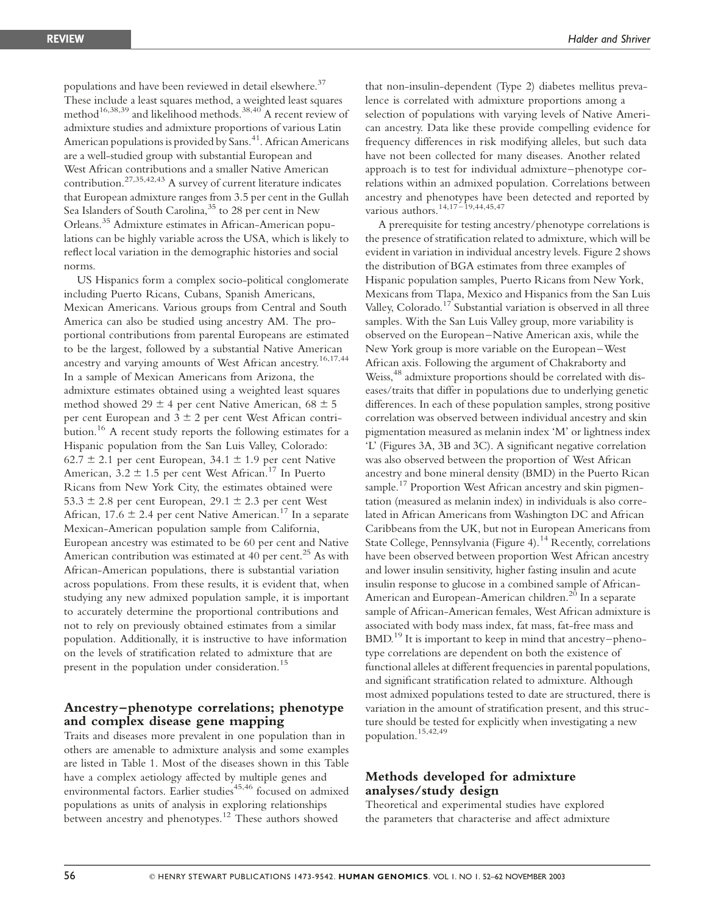populations and have been reviewed in detail elsewhere.<sup>37</sup> These include a least squares method, a weighted least squares method<sup>16,38,39</sup> and likelihood methods.<sup>38,40</sup> A recent review of admixture studies and admixture proportions of various Latin American populations is provided by Sans.<sup>41</sup>. African Americans are a well-studied group with substantial European and West African contributions and a smaller Native American contribution.27,35,42,43 A survey of current literature indicates that European admixture ranges from 3.5 per cent in the Gullah Sea Islanders of South Carolina,<sup>35</sup> to 28 per cent in New Orleans.<sup>35</sup> Admixture estimates in African-American populations can be highly variable across the USA, which is likely to reflect local variation in the demographic histories and social norms.

US Hispanics form a complex socio-political conglomerate including Puerto Ricans, Cubans, Spanish Americans, Mexican Americans. Various groups from Central and South America can also be studied using ancestry AM. The proportional contributions from parental Europeans are estimated to be the largest, followed by a substantial Native American ancestry and varying amounts of West African ancestry.16,17,44 In a sample of Mexican Americans from Arizona, the admixture estimates obtained using a weighted least squares method showed 29  $\pm$  4 per cent Native American, 68  $\pm$  5 per cent European and  $3 \pm 2$  per cent West African contribution.<sup>16</sup> A recent study reports the following estimates for a Hispanic population from the San Luis Valley, Colorado: 62.7  $\pm$  2.1 per cent European, 34.1  $\pm$  1.9 per cent Native American,  $3.2 \pm 1.5$  per cent West African.<sup>17</sup> In Puerto Ricans from New York City, the estimates obtained were 53.3  $\pm$  2.8 per cent European, 29.1  $\pm$  2.3 per cent West African, 17.6  $\pm$  2.4 per cent Native American.<sup>17</sup> In a separate Mexican-American population sample from California, European ancestry was estimated to be 60 per cent and Native American contribution was estimated at 40 per cent.<sup>25</sup> As with African-American populations, there is substantial variation across populations. From these results, it is evident that, when studying any new admixed population sample, it is important to accurately determine the proportional contributions and not to rely on previously obtained estimates from a similar population. Additionally, it is instructive to have information on the levels of stratification related to admixture that are present in the population under consideration.<sup>15</sup>

#### Ancestry–phenotype correlations; phenotype and complex disease gene mapping

Traits and diseases more prevalent in one population than in others are amenable to admixture analysis and some examples are listed in Table 1. Most of the diseases shown in this Table have a complex aetiology affected by multiple genes and environmental factors. Earlier studies<sup>45,46</sup> focused on admixed populations as units of analysis in exploring relationships between ancestry and phenotypes.<sup>12</sup> These authors showed

that non-insulin-dependent (Type 2) diabetes mellitus prevalence is correlated with admixture proportions among a selection of populations with varying levels of Native American ancestry. Data like these provide compelling evidence for frequency differences in risk modifying alleles, but such data have not been collected for many diseases. Another related approach is to test for individual admixture–phenotype correlations within an admixed population. Correlations between ancestry and phenotypes have been detected and reported by various authors.<sup>14,17–19,44,45,47</sup>

A prerequisite for testing ancestry/phenotype correlations is the presence of stratification related to admixture, which will be evident in variation in individual ancestry levels. Figure 2 shows the distribution of BGA estimates from three examples of Hispanic population samples, Puerto Ricans from New York, Mexicans from Tlapa, Mexico and Hispanics from the San Luis Valley, Colorado.<sup>17</sup> Substantial variation is observed in all three samples. With the San Luis Valley group, more variability is observed on the European–Native American axis, while the New York group is more variable on the European–West African axis. Following the argument of Chakraborty and Weiss, <sup>48</sup> admixture proportions should be correlated with diseases/traits that differ in populations due to underlying genetic differences. In each of these population samples, strong positive correlation was observed between individual ancestry and skin pigmentation measured as melanin index 'M' or lightness index 'L' (Figures 3A, 3B and 3C). A significant negative correlation was also observed between the proportion of West African ancestry and bone mineral density (BMD) in the Puerto Rican sample.<sup>17</sup> Proportion West African ancestry and skin pigmentation (measured as melanin index) in individuals is also correlated in African Americans from Washington DC and African Caribbeans from the UK, but not in European Americans from State College, Pennsylvania (Figure 4).<sup>14</sup> Recently, correlations have been observed between proportion West African ancestry and lower insulin sensitivity, higher fasting insulin and acute insulin response to glucose in a combined sample of African-American and European-American children.<sup>20</sup> In a separate sample of African-American females, West African admixture is associated with body mass index, fat mass, fat-free mass and  $BMD<sup>19</sup>$  It is important to keep in mind that ancestry–phenotype correlations are dependent on both the existence of functional alleles at different frequencies in parental populations, and significant stratification related to admixture. Although most admixed populations tested to date are structured, there is variation in the amount of stratification present, and this structure should be tested for explicitly when investigating a new population.15,42,49

#### Methods developed for admixture analyses/study design

Theoretical and experimental studies have explored the parameters that characterise and affect admixture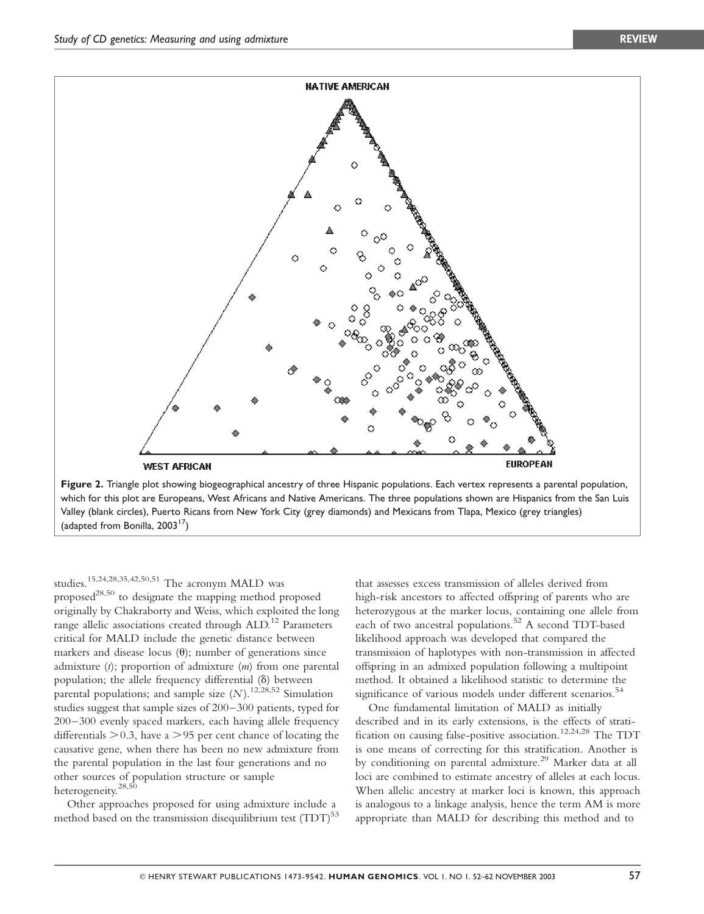

which for this plot are Europeans, West Africans and Native Americans. The three populations shown are Hispanics from the San Luis Valley (blank circles), Puerto Ricans from New York City (grey diamonds) and Mexicans from Tlapa, Mexico (grey triangles) (adapted from Bonilla, 2003<sup>17</sup>)

studies.15,24,28,35,42,50,51 The acronym MALD was proposed<sup>28,50</sup> to designate the mapping method proposed originally by Chakraborty and Weiss, which exploited the long range allelic associations created through ALD.<sup>12</sup> Parameters critical for MALD include the genetic distance between markers and disease locus  $(\theta)$ ; number of generations since admixture  $(t)$ ; proportion of admixture  $(m)$  from one parental population; the allele frequency differential  $(\delta)$  between parental populations; and sample size  $(N)$ .<sup>12,28,52</sup> Simulation studies suggest that sample sizes of 200–300 patients, typed for 200–300 evenly spaced markers, each having allele frequency differentials  $> 0.3$ , have a  $> 95$  per cent chance of locating the causative gene, when there has been no new admixture from the parental population in the last four generations and no other sources of population structure or sample heterogeneity.<sup>28,50</sup>

Other approaches proposed for using admixture include a method based on the transmission disequilibrium test  $(TDT)^{53}$ 

that assesses excess transmission of alleles derived from high-risk ancestors to affected offspring of parents who are heterozygous at the marker locus, containing one allele from each of two ancestral populations.<sup>52</sup> A second TDT-based likelihood approach was developed that compared the transmission of haplotypes with non-transmission in affected offspring in an admixed population following a multipoint method. It obtained a likelihood statistic to determine the significance of various models under different scenarios.<sup>54</sup>

One fundamental limitation of MALD as initially described and in its early extensions, is the effects of stratification on causing false-positive association.12,24,28 The TDT is one means of correcting for this stratification. Another is by conditioning on parental admixture.<sup>29</sup> Marker data at all loci are combined to estimate ancestry of alleles at each locus. When allelic ancestry at marker loci is known, this approach is analogous to a linkage analysis, hence the term AM is more appropriate than MALD for describing this method and to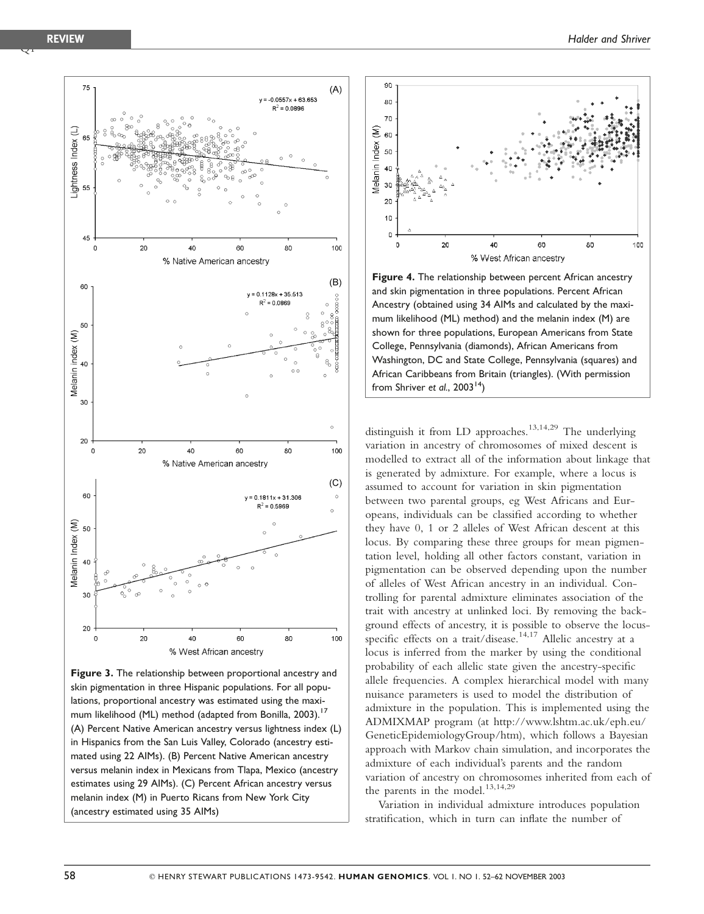$\overline{\mathbf{Y}}$ 



Figure 3. The relationship between proportional ancestry and skin pigmentation in three Hispanic populations. For all populations, proportional ancestry was estimated using the maximum likelihood (ML) method (adapted from Bonilla, 2003).<sup>17</sup> (A) Percent Native American ancestry versus lightness index (L) in Hispanics from the San Luis Valley, Colorado (ancestry estimated using 22 AIMs). (B) Percent Native American ancestry versus melanin index in Mexicans from Tlapa, Mexico (ancestry estimates using 29 AIMs). (C) Percent African ancestry versus melanin index (M) in Puerto Ricans from New York City (ancestry estimated using 35 AIMs)



Figure 4. The relationship between percent African ancestry and skin pigmentation in three populations. Percent African Ancestry (obtained using 34 AIMs and calculated by the maximum likelihood (ML) method) and the melanin index (M) are shown for three populations, European Americans from State College, Pennsylvania (diamonds), African Americans from Washington, DC and State College, Pennsylvania (squares) and African Caribbeans from Britain (triangles). (With permission from Shriver et al.,  $2003^{14}$ )

distinguish it from LD approaches.<sup>13,14,29</sup> The underlying variation in ancestry of chromosomes of mixed descent is modelled to extract all of the information about linkage that is generated by admixture. For example, where a locus is assumed to account for variation in skin pigmentation between two parental groups, eg West Africans and Europeans, individuals can be classified according to whether they have 0, 1 or 2 alleles of West African descent at this locus. By comparing these three groups for mean pigmentation level, holding all other factors constant, variation in pigmentation can be observed depending upon the number of alleles of West African ancestry in an individual. Controlling for parental admixture eliminates association of the trait with ancestry at unlinked loci. By removing the background effects of ancestry, it is possible to observe the locusspecific effects on a trait/disease.<sup>14,17</sup> Allelic ancestry at a locus is inferred from the marker by using the conditional probability of each allelic state given the ancestry-specific allele frequencies. A complex hierarchical model with many nuisance parameters is used to model the distribution of admixture in the population. This is implemented using the ADMIXMAP program (at http://www.lshtm.ac.uk/eph.eu/ GeneticEpidemiologyGroup/htm), which follows a Bayesian approach with Markov chain simulation, and incorporates the admixture of each individual's parents and the random variation of ancestry on chromosomes inherited from each of the parents in the model. $13,14,29$ 

Variation in individual admixture introduces population stratification, which in turn can inflate the number of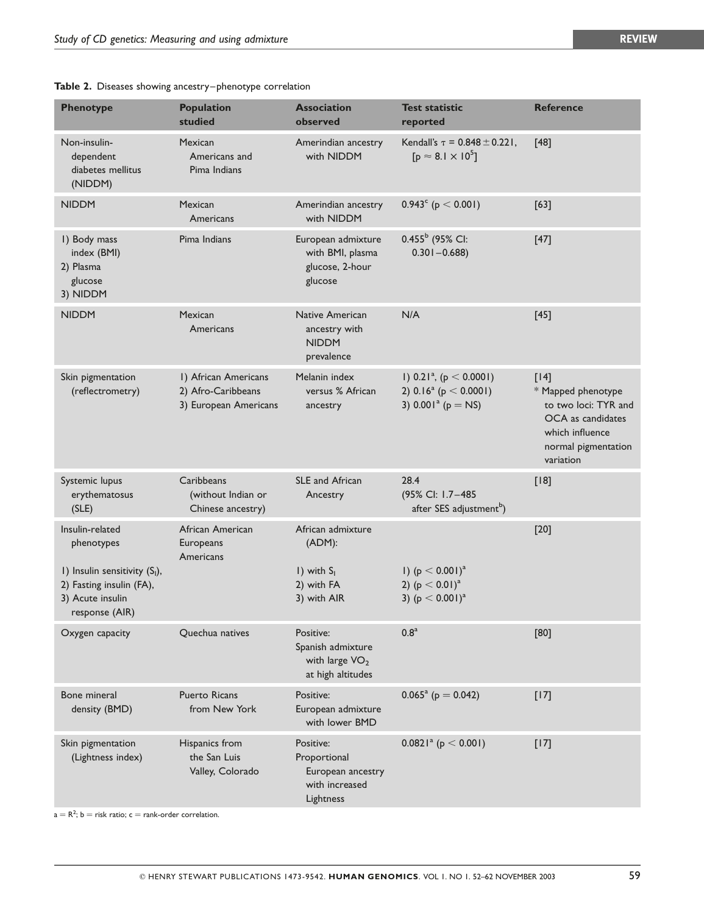| <b>Phenotype</b>                                                                                            | <b>Population</b><br>studied                                        | <b>Association</b><br>observed                                                | <b>Test statistic</b><br>reported                                                  | <b>Reference</b>                                                                                                               |
|-------------------------------------------------------------------------------------------------------------|---------------------------------------------------------------------|-------------------------------------------------------------------------------|------------------------------------------------------------------------------------|--------------------------------------------------------------------------------------------------------------------------------|
| Non-insulin-<br>dependent<br>diabetes mellitus<br>(NIDDM)                                                   | Mexican<br>Americans and<br>Pima Indians                            | Amerindian ancestry<br>with NIDDM                                             | Kendall's $\tau = 0.848 \pm 0.221$ ,<br>$[p \approx 8.1 \times 10^5]$              | $[48]$                                                                                                                         |
| <b>NIDDM</b>                                                                                                | Mexican<br>Americans                                                | Amerindian ancestry<br>with NIDDM                                             | $0.943^c$ (p $< 0.001$ )                                                           | $[63]$                                                                                                                         |
| I) Body mass<br>index (BMI)<br>2) Plasma<br>glucose<br>3) NIDDM                                             | Pima Indians                                                        | European admixture<br>with BMI, plasma<br>glucose, 2-hour<br>glucose          | 0.455 <sup>b</sup> (95% CI:<br>$0.301 - 0.688$                                     | $[47]$                                                                                                                         |
| <b>NIDDM</b>                                                                                                | Mexican<br>Americans                                                | Native American<br>ancestry with<br><b>NIDDM</b><br>prevalence                | N/A                                                                                | $[45]$                                                                                                                         |
| Skin pigmentation<br>(reflectrometry)                                                                       | I) African Americans<br>2) Afro-Caribbeans<br>3) European Americans | Melanin index<br>versus % African<br>ancestry                                 | 1) $0.21^a$ , (p < 0.0001)<br>2) $0.16^a$ (p $< 0.0001$ )<br>3) $0.001^a$ (p = NS) | [14]<br>* Mapped phenotype<br>to two loci: TYR and<br>OCA as candidates<br>which influence<br>normal pigmentation<br>variation |
| Systemic lupus<br>erythematosus<br>(SLE)                                                                    | Caribbeans<br>(without Indian or<br>Chinese ancestry)               | <b>SLE and African</b><br>Ancestry                                            | 28.4<br>(95% CI: 1.7-485<br>after SES adjustment <sup>b</sup> )                    | $[18]$                                                                                                                         |
| Insulin-related<br>phenotypes                                                                               | African American<br>Europeans<br>Americans                          | African admixture<br>(ADM):                                                   |                                                                                    | $[20]$                                                                                                                         |
| I) Insulin sensitivity (S <sub>I</sub> ),<br>2) Fasting insulin (FA),<br>3) Acute insulin<br>response (AIR) |                                                                     | I) with $S_I$<br>2) with FA<br>3) with AIR                                    | 1) $(p < 0.001)^a$<br>2) $(p < 0.01)^a$<br>3) $(p < 0.001)^a$                      |                                                                                                                                |
| Oxygen capacity                                                                                             | Quechua natives                                                     | Positive:<br>Spanish admixture<br>with large $VO2$<br>at high altitudes       | 0.8 <sup>a</sup>                                                                   | [80]                                                                                                                           |
| Bone mineral<br>density (BMD)                                                                               | <b>Puerto Ricans</b><br>from New York                               | Positive:<br>European admixture<br>with lower BMD                             | $0.065^a$ (p = 0.042)                                                              | $[17]$                                                                                                                         |
| Skin pigmentation<br>(Lightness index)                                                                      | Hispanics from<br>the San Luis<br>Valley, Colorado                  | Positive:<br>Proportional<br>European ancestry<br>with increased<br>Lightness | $0.0821^a$ (p $< 0.001$ )                                                          | $[17]$                                                                                                                         |

#### Table 2. Diseases showing ancestry–phenotype correlation

 $a = R^2$ ; b = risk ratio; c = rank-order correlation.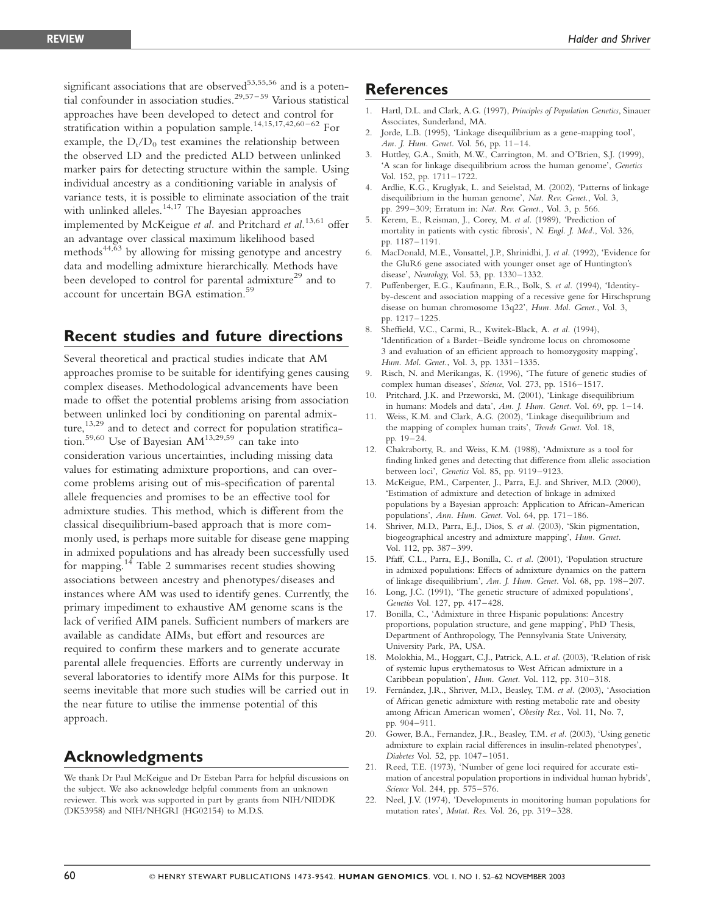significant associations that are observed<sup>53,55,56</sup> and is a potential confounder in association studies.<sup>29,57–59</sup> Various statistical approaches have been developed to detect and control for stratification within a population sample.<sup>14,15,17,42,60-62</sup> For example, the  $D_t/D_0$  test examines the relationship between the observed LD and the predicted ALD between unlinked marker pairs for detecting structure within the sample. Using individual ancestry as a conditioning variable in analysis of variance tests, it is possible to eliminate association of the trait with unlinked alleles.<sup>14,17</sup> The Bayesian approaches implemented by McKeigue et al. and Pritchard et al.<sup>13,61</sup> offer an advantage over classical maximum likelihood based methods<sup>44, $\bar{6}$ 3 by allowing for missing genotype and ancestry</sup> data and modelling admixture hierarchically. Methods have been developed to control for parental admixture<sup>29</sup> and to account for uncertain BGA estimation.<sup>59</sup>

# Recent studies and future directions

Several theoretical and practical studies indicate that AM approaches promise to be suitable for identifying genes causing complex diseases. Methodological advancements have been made to offset the potential problems arising from association between unlinked loci by conditioning on parental admixture,<sup>13,29</sup> and to detect and correct for population stratification.<sup>59,60</sup> Use of Bayesian  $AM^{13,29,59}$  can take into consideration various uncertainties, including missing data values for estimating admixture proportions, and can overcome problems arising out of mis-specification of parental allele frequencies and promises to be an effective tool for admixture studies. This method, which is different from the classical disequilibrium-based approach that is more commonly used, is perhaps more suitable for disease gene mapping in admixed populations and has already been successfully used for mapping.<sup>14</sup> Table 2 summarises recent studies showing associations between ancestry and phenotypes/diseases and instances where AM was used to identify genes. Currently, the primary impediment to exhaustive AM genome scans is the lack of verified AIM panels. Sufficient numbers of markers are available as candidate AIMs, but effort and resources are required to confirm these markers and to generate accurate parental allele frequencies. Efforts are currently underway in several laboratories to identify more AIMs for this purpose. It seems inevitable that more such studies will be carried out in the near future to utilise the immense potential of this approach.

## Acknowledgments

We thank Dr Paul McKeigue and Dr Esteban Parra for helpful discussions on the subject. We also acknowledge helpful comments from an unknown reviewer. This work was supported in part by grants from NIH/NIDDK (DK53958) and NIH/NHGRI (HG02154) to M.D.S.

## **References**

- 1. Hartl, D.L. and Clark, A.G. (1997), Principles of Population Genetics, Sinauer Associates, Sunderland, MA.
- 2. Jorde, L.B. (1995), 'Linkage disequilibrium as a gene-mapping tool', Am. J. Hum. Genet. Vol. 56, pp. 11–14.
- Huttley, G.A., Smith, M.W., Carrington, M. and O'Brien, S.J. (1999), 'A scan for linkage disequilibrium across the human genome', Genetics Vol. 152, pp. 1711–1722.
- 4. Ardlie, K.G., Kruglyak, L. and Seielstad, M. (2002), 'Patterns of linkage disequilibrium in the human genome', Nat. Rev. Genet., Vol. 3, pp. 299–309; Erratum in: Nat. Rev. Genet., Vol. 3, p. 566.
- 5. Kerem, E., Reisman, J., Corey, M. et al. (1989), 'Prediction of mortality in patients with cystic fibrosis', N. Engl. J. Med., Vol. 326, pp. 1187–1191.
- MacDonald, M.E., Vonsattel, J.P., Shrinidhi, J. et al. (1992), 'Evidence for the GluR6 gene associated with younger onset age of Huntington's disease', Neurology, Vol. 53, pp. 1330–1332.
- Puffenberger, E.G., Kaufmann, E.R., Bolk, S. et al. (1994), 'Identityby-descent and association mapping of a recessive gene for Hirschsprung disease on human chromosome 13q22', Hum. Mol. Genet., Vol. 3, pp. 1217–1225.
- 8. Sheffield, V.C., Carmi, R., Kwitek-Black, A. et al. (1994), 'Identification of a Bardet–Beidle syndrome locus on chromosome 3 and evaluation of an efficient approach to homozygosity mapping', Hum. Mol. Genet., Vol. 3, pp. 1331–1335.
- 9. Risch, N. and Merikangas, K. (1996), 'The future of genetic studies of complex human diseases', Science, Vol. 273, pp. 1516–1517.
- 10. Pritchard, J.K. and Przeworski, M. (2001), 'Linkage disequilibrium in humans: Models and data', Am. J. Hum. Genet. Vol. 69, pp. 1–14.
- Weiss, K.M. and Clark, A.G. (2002), 'Linkage disequilibrium and the mapping of complex human traits', Trends Genet. Vol. 18, pp. 19–24.
- 12. Chakraborty, R. and Weiss, K.M. (1988), 'Admixture as a tool for finding linked genes and detecting that difference from allelic association between loci', Genetics Vol. 85, pp. 9119–9123.
- 13. McKeigue, P.M., Carpenter, J., Parra, E.J. and Shriver, M.D. (2000), 'Estimation of admixture and detection of linkage in admixed populations by a Bayesian approach: Application to African-American populations', Ann. Hum. Genet. Vol. 64, pp. 171–186.
- 14. Shriver, M.D., Parra, E.J., Dios, S. et al. (2003), 'Skin pigmentation, biogeographical ancestry and admixture mapping', Hum. Genet. Vol. 112, pp. 387–399.
- 15. Pfaff, C.L., Parra, E.J., Bonilla, C. et al. (2001), 'Population structure in admixed populations: Effects of admixture dynamics on the pattern of linkage disequilibrium', Am. J. Hum. Genet. Vol. 68, pp. 198–207.
- 16. Long, J.C. (1991), 'The genetic structure of admixed populations', Genetics Vol. 127, pp. 417–428.
- 17. Bonilla, C., 'Admixture in three Hispanic populations: Ancestry proportions, population structure, and gene mapping', PhD Thesis, Department of Anthropology, The Pennsylvania State University, University Park, PA, USA.
- 18. Molokhia, M., Hoggart, C.J., Patrick, A.L. et al. (2003), 'Relation of risk of systemic lupus erythematosus to West African admixture in a Caribbean population', Hum. Genet. Vol. 112, pp. 310–318.
- 19. Fernández, J.R., Shriver, M.D., Beasley, T.M. et al. (2003), 'Association of African genetic admixture with resting metabolic rate and obesity among African American women', Obesity Res., Vol. 11, No. 7, pp. 904–911.
- 20. Gower, B.A., Fernandez, J.R., Beasley, T.M. et al. (2003), 'Using genetic admixture to explain racial differences in insulin-related phenotypes', Diabetes Vol. 52, pp. 1047–1051.
- 21. Reed, T.E. (1973), 'Number of gene loci required for accurate estimation of ancestral population proportions in individual human hybrids', Science Vol. 244, pp. 575–576.
- 22. Neel, J.V. (1974), 'Developments in monitoring human populations for mutation rates', Mutat. Res. Vol. 26, pp. 319–328.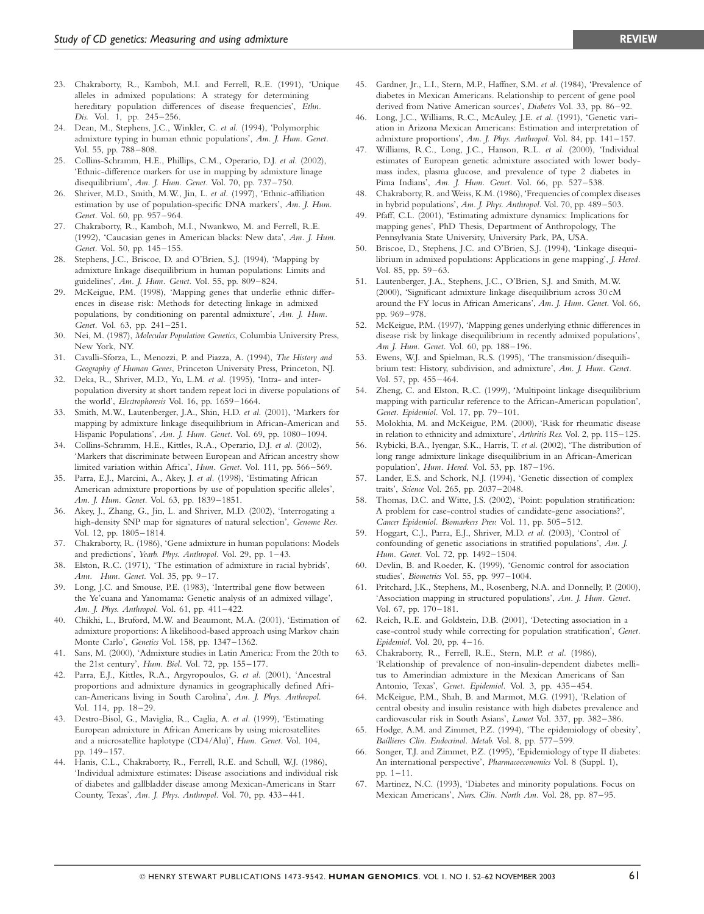- 23. Chakraborty, R., Kamboh, M.I. and Ferrell, R.E. (1991), 'Unique alleles in admixed populations: A strategy for determining hereditary population differences of disease frequencies', Ethn. Dis. Vol. 1, pp. 245–256.
- 24. Dean, M., Stephens, J.C., Winkler, C. et al. (1994), 'Polymorphic admixture typing in human ethnic populations', Am. J. Hum. Genet. Vol. 55, pp. 788–808.
- 25. Collins-Schramm, H.E., Phillips, C.M., Operario, D.J. et al. (2002), 'Ethnic-difference markers for use in mapping by admixture linage disequilibrium', Am. J. Hum. Genet. Vol. 70, pp. 737-750.
- 26. Shriver, M.D., Smith, M.W., Jin, L. et al. (1997), 'Ethnic-affiliation estimation by use of population-specific DNA markers', Am. J. Hum. Genet. Vol. 60, pp. 957–964.
- 27. Chakraborty, R., Kamboh, M.I., Nwankwo, M. and Ferrell, R.E. (1992), 'Caucasian genes in American blacks: New data', Am. J. Hum. Genet. Vol. 50, pp. 145–155.
- 28. Stephens, J.C., Briscoe, D. and O'Brien, S.J. (1994), 'Mapping by admixture linkage disequilibrium in human populations: Limits and guidelines', Am. J. Hum. Genet. Vol. 55, pp. 809–824.
- 29. McKeigue, P.M. (1998), 'Mapping genes that underlie ethnic differences in disease risk: Methods for detecting linkage in admixed populations, by conditioning on parental admixture', Am. J. Hum. Genet. Vol. 63, pp. 241–251.
- 30. Nei, M. (1987), Molecular Population Genetics, Columbia University Press, New York, NY.
- 31. Cavalli-Sforza, L., Menozzi, P. and Piazza, A. (1994), The History and Geography of Human Genes, Princeton University Press, Princeton, NJ.
- 32. Deka, R., Shriver, M.D., Yu, L.M. et al. (1995), 'Intra- and interpopulation diversity at short tandem repeat loci in diverse populations of the world', Electrophoresis Vol. 16, pp. 1659-1664.
- 33. Smith, M.W., Lautenberger, J.A., Shin, H.D. et al. (2001), 'Markers for mapping by admixture linkage disequilibrium in African-American and Hispanic Populations', Am. J. Hum. Genet. Vol. 69, pp. 1080–1094.
- 34. Collins-Schramm, H.E., Kittles, R.A., Operario, D.J. et al. (2002), 'Markers that discriminate between European and African ancestry show limited variation within Africa', Hum. Genet. Vol. 111, pp. 566–569.
- 35. Parra, E.J., Marcini, A., Akey, J. et al. (1998), 'Estimating African American admixture proportions by use of population specific alleles', Am. J. Hum. Genet. Vol. 63, pp. 1839–1851.
- 36. Akey, J., Zhang, G., Jin, L. and Shriver, M.D. (2002), 'Interrogating a high-density SNP map for signatures of natural selection', Genome Res. Vol. 12, pp. 1805–1814.
- 37. Chakraborty, R. (1986), 'Gene admixture in human populations: Models and predictions', Yearb. Phys. Anthropol. Vol. 29, pp. 1–43.
- 38. Elston, R.C. (1971), 'The estimation of admixture in racial hybrids', Ann. Hum. Genet. Vol. 35, pp. 9–17.
- 39. Long, J.C. and Smouse, P.E. (1983), 'Intertribal gene flow between the Ye'cuana and Yanomama: Genetic analysis of an admixed village', Am. J. Phys. Anthropol. Vol. 61, pp. 411–422.
- 40. Chikhi, L., Bruford, M.W. and Beaumont, M.A. (2001), 'Estimation of admixture proportions: A likelihood-based approach using Markov chain Monte Carlo', Genetics Vol. 158, pp. 1347–1362.
- 41. Sans, M. (2000), 'Admixture studies in Latin America: From the 20th to the 21st century', Hum. Biol. Vol. 72, pp. 155–177.
- 42. Parra, E.J., Kittles, R.A., Argyropoulos, G. et al. (2001), 'Ancestral proportions and admixture dynamics in geographically defined African-Americans living in South Carolina', Am. J. Phys. Anthropol. Vol. 114, pp. 18–29.
- 43. Destro-Bisol, G., Maviglia, R., Caglia, A. et al. (1999), 'Estimating European admixture in African Americans by using microsatellites and a microsatellite haplotype (CD4/Alu)', Hum. Genet. Vol. 104, pp. 149–157.
- 44. Hanis, C.L., Chakraborty, R., Ferrell, R.E. and Schull, W.J. (1986), 'Individual admixture estimates: Disease associations and individual risk of diabetes and gallbladder disease among Mexican-Americans in Starr County, Texas', Am. J. Phys. Anthropol. Vol. 70, pp. 433–441.
- 45. Gardner, Jr., L.I., Stern, M.P., Haffner, S.M. et al. (1984), 'Prevalence of diabetes in Mexican Americans. Relationship to percent of gene pool derived from Native American sources', Diabetes Vol. 33, pp. 86–92.
- 46. Long, J.C., Williams, R.C., McAuley, J.E. et al. (1991), 'Genetic variation in Arizona Mexican Americans: Estimation and interpretation of admixture proportions', Am. J. Phys. Anthropol. Vol. 84, pp. 141-157.
- 47. Williams, R.C., Long, J.C., Hanson, R.L. et al. (2000), 'Individual estimates of European genetic admixture associated with lower bodymass index, plasma glucose, and prevalence of type 2 diabetes in Pima Indians', Am. J. Hum. Genet. Vol. 66, pp. 527–538.
- 48. Chakraborty, R. and Weiss, K.M. (1986), 'Frequencies of complex diseases in hybrid populations', Am. J. Phys. Anthropol. Vol. 70, pp. 489–503.
- 49. Pfaff, C.L. (2001), 'Estimating admixture dynamics: Implications for mapping genes', PhD Thesis, Department of Anthropology, The Pennsylvania State University, University Park, PA, USA.
- 50. Briscoe, D., Stephens, J.C. and O'Brien, S.J. (1994), 'Linkage disequilibrium in admixed populations: Applications in gene mapping', J. Hered. Vol. 85, pp. 59–63.
- 51. Lautenberger, J.A., Stephens, J.C., O'Brien, S.J. and Smith, M.W. (2000), 'Significant admixture linkage disequilibrium across 30 cM around the FY locus in African Americans', Am. J. Hum. Genet. Vol. 66, pp. 969–978.
- 52. McKeigue, P.M. (1997), 'Mapping genes underlying ethnic differences in disease risk by linkage disequilibrium in recently admixed populations', Am J. Hum. Genet. Vol. 60, pp. 188–196.
- 53. Ewens, W.J. and Spielman, R.S. (1995), 'The transmission/disequilibrium test: History, subdivision, and admixture', Am. J. Hum. Genet. Vol. 57, pp. 455–464.
- 54. Zheng, C. and Elston, R.C. (1999), 'Multipoint linkage disequilibrium mapping with particular reference to the African-American population', Genet. Epidemiol. Vol. 17, pp. 79–101.
- 55. Molokhia, M. and McKeigue, P.M. (2000), 'Risk for rheumatic disease in relation to ethnicity and admixture', Arthritis Res. Vol. 2, pp. 115–125.
- 56. Rybicki, B.A., Iyengar, S.K., Harris, T. et al. (2002), 'The distribution of long range admixture linkage disequilibrium in an African-American population', Hum. Hered. Vol. 53, pp. 187-196.
- Lander, E.S. and Schork, N.J. (1994), 'Genetic dissection of complex traits', Science Vol. 265, pp. 2037–2048.
- 58. Thomas, D.C. and Witte, J.S. (2002), 'Point: population stratification: A problem for case-control studies of candidate-gene associations?', Cancer Epidemiol. Biomarkers Prev. Vol. 11, pp. 505–512.
- 59. Hoggart, C.J., Parra, E.J., Shriver, M.D. et al. (2003), 'Control of confounding of genetic associations in stratified populations', Am. J. Hum. Genet. Vol. 72, pp. 1492–1504.
- Devlin, B. and Roeder, K. (1999), 'Genomic control for association studies', Biometrics Vol. 55, pp. 997–1004.
- 61. Pritchard, J.K., Stephens, M., Rosenberg, N.A. and Donnelly, P. (2000), 'Association mapping in structured populations', Am. J. Hum. Genet. Vol. 67, pp. 170–181.
- 62. Reich, R.E. and Goldstein, D.B. (2001), 'Detecting association in a case-control study while correcting for population stratification', Genet. Epidemiol. Vol. 20, pp. 4–16.
- 63. Chakraborty, R., Ferrell, R.E., Stern, M.P. et al. (1986), 'Relationship of prevalence of non-insulin-dependent diabetes mellitus to Amerindian admixture in the Mexican Americans of San Antonio, Texas', Genet. Epidemiol. Vol. 3, pp. 435–454.
- McKeigue, P.M., Shah, B. and Marmot, M.G. (1991), 'Relation of central obesity and insulin resistance with high diabetes prevalence and cardiovascular risk in South Asians', Lancet Vol. 337, pp. 382–386.
- 65. Hodge, A.M. and Zimmet, P.Z. (1994), 'The epidemiology of obesity', Baillieres Clin. Endocrinol. Metab. Vol. 8, pp. 577–599.
- 66. Songer, T.J. and Zimmet, P.Z. (1995), 'Epidemiology of type II diabetes: An international perspective', *Pharmacoeconomics* Vol. 8 (Suppl. 1), pp. 1–11.
- 67. Martinez, N.C. (1993), 'Diabetes and minority populations. Focus on Mexican Americans', Nurs. Clin. North Am. Vol. 28, pp. 87–95.